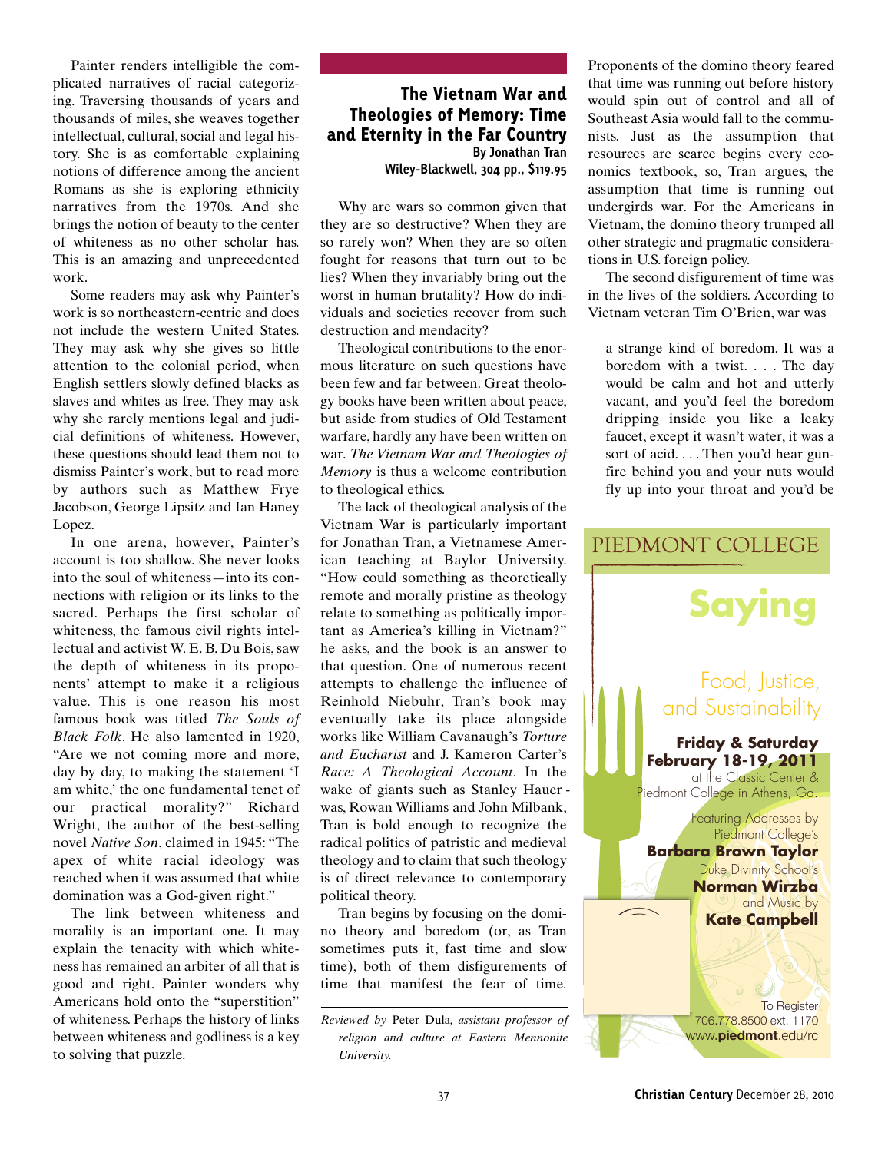Painter renders intelligible the complicated narratives of racial categorizing. Traversing thousands of years and thousands of miles, she weaves together intellectual, cultural, social and legal history. She is as comfortable explaining notions of difference among the ancient Romans as she is exploring ethnicity narratives from the 1970s. And she brings the notion of beauty to the center of whiteness as no other scholar has. This is an amazing and unprecedented work.

Some readers may ask why Painter's work is so northeastern-centric and does not include the western United States. They may ask why she gives so little attention to the colonial period, when English settlers slowly defined blacks as slaves and whites as free. They may ask why she rarely mentions legal and judicial definitions of whiteness. However, these questions should lead them not to dismiss Painter's work, but to read more by authors such as Matthew Frye Jacobson, George Lipsitz and Ian Haney Lopez.

In one arena, however, Painter's account is too shallow. She never looks into the soul of whiteness—into its connections with religion or its links to the sacred. Perhaps the first scholar of whiteness, the famous civil rights intellectual and activist W. E. B. Du Bois, saw the depth of whiteness in its proponents' attempt to make it a religious value. This is one reason his most famous book was titled *The Souls of Black Folk*. He also lamented in 1920, "Are we not coming more and more, day by day, to making the statement 'I am white,' the one fundamental tenet of our practical morality?" Richard Wright, the author of the best-selling novel *Native Son*, claimed in 1945: "The apex of white racial ideology was reached when it was assumed that white domination was a God-given right."

The link between whiteness and morality is an important one. It may explain the tenacity with which whiteness has remained an arbiter of all that is good and right. Painter wonders why Americans hold onto the "superstition" of whiteness. Perhaps the history of links between whiteness and godliness is a key to solving that puzzle.

## The Vietnam War and Theologies of Memory: Time and Eternity in the Far Country **By Jonathan Tran Wiley-Blackwell, 304 pp., \$119.95**

Why are wars so common given that they are so destructive? When they are so rarely won? When they are so often fought for reasons that turn out to be lies? When they invariably bring out the worst in human brutality? How do individuals and societies recover from such destruction and mendacity?

Theological contributions to the enormous literature on such questions have been few and far between. Great theology books have been written about peace, but aside from studies of Old Testament warfare, hardly any have been written on war. *The Vietnam War and Theologies of Memory* is thus a welcome contribution to theological ethics.

The lack of theological analysis of the Vietnam War is particularly important for Jonathan Tran, a Vietnamese American teaching at Baylor University. "How could something as theoretically remote and morally pristine as theology relate to something as politically important as America's killing in Vietnam?" he asks, and the book is an answer to that question. One of numerous recent attempts to challenge the influence of Reinhold Niebuhr, Tran's book may eventually take its place alongside works like William Cavanaugh's *Torture and Eucharist* and J. Kameron Carter's *Race: A Theological Account*. In the wake of giants such as Stanley Hauer was, Rowan Williams and John Milbank, Tran is bold enough to recognize the radical politics of patristic and medieval theology and to claim that such theology is of direct relevance to contemporary political theory.

Tran begins by focusing on the domino theory and boredom (or, as Tran sometimes puts it, fast time and slow time), both of them disfigurements of time that manifest the fear of time.

*Reviewed by* Peter Dula*, assistant professor of religion and culture at Eastern Mennonite University.*

Proponents of the domino theory feared that time was running out before history would spin out of control and all of Southeast Asia would fall to the communists. Just as the assumption that resources are scarce begins every economics textbook, so, Tran argues, the assumption that time is running out undergirds war. For the Americans in Vietnam, the domino theory trumped all other strategic and pragmatic considerations in U.S. foreign policy.

The second disfigurement of time was in the lives of the soldiers. According to Vietnam veteran Tim O'Brien, war was

a strange kind of boredom. It was a boredom with a twist. . . . The day would be calm and hot and utterly vacant, and you'd feel the boredom dripping inside you like a leaky faucet, except it wasn't water, it was a sort of acid. . . . Then you'd hear gunfire behind you and your nuts would fly up into your throat and you'd be

## **Friday & Saturday February 18-19, 2011** at the Classic Center & Piedmont College in Athens, Ga. Featuring Addresses by Piedmont College's **Barbara Brown Taylor** Duke Divinity School's **Norman Wirzba** and Music by **Kate Campbell To Register** PIEDMONT COLLEGE Food, Justice, and Sustainability **Saying Saying**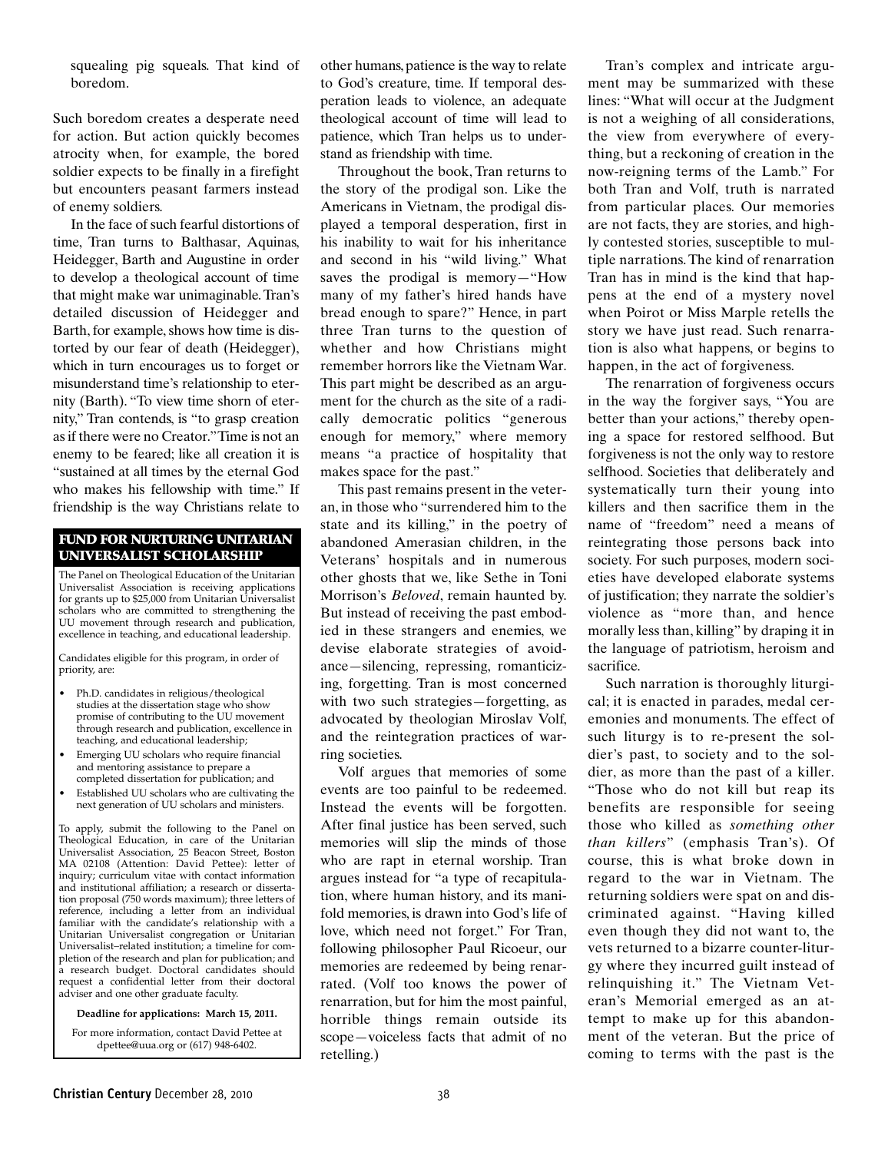squealing pig squeals. That kind of boredom.

Such boredom creates a desperate need for action. But action quickly becomes atrocity when, for example, the bored soldier expects to be finally in a firefight but encounters peasant farmers instead of enemy soldiers.

In the face of such fearful distortions of time, Tran turns to Balthasar, Aquinas, Heidegger, Barth and Augustine in order to develop a theological account of time that might make war unimaginable.Tran's detailed discussion of Heidegger and Barth, for example, shows how time is distorted by our fear of death (Heidegger), which in turn encourages us to forget or misunderstand time's relationship to eternity (Barth). "To view time shorn of eternity," Tran contends, is "to grasp creation asif there were no Creator."Time is not an enemy to be feared; like all creation it is "sustained at all times by the eternal God who makes his fellowship with time." If friendship is the way Christians relate to

## FUND FOR NURTURING UNITARIAN UNIVERSALIST SCHOLARSHIP

The Panel on Theological Education of the Unitarian Universalist Association is receiving applications for grants up to \$25,000 from Unitarian Universalist scholars who are committed to strengthening the UU movement through research and publication, excellence in teaching, and educational leadership.

Candidates eligible for this program, in order of priority, are:

- Ph.D. candidates in religious/theological studies at the dissertation stage who show promise of contributing to the UU movement through research and publication, excellence in teaching, and educational leadership;
- Emerging UU scholars who require financial and mentoring assistance to prepare a completed dissertation for publication; and
- Established UU scholars who are cultivating the next generation of UU scholars and ministers.

To apply, submit the following to the Panel on Theological Education, in care of the Unitarian Universalist Association, 25 Beacon Street, Boston MA 02108 (Attention: David Pettee): letter of inquiry; curriculum vitae with contact information and institutional affiliation; a research or dissertation proposal (750 words maximum); three letters of reference, including a letter from an individual familiar with the candidate's relationship with a Unitarian Universalist congregation or Unitarian Universalist–related institution; a timeline for completion of the research and plan for publication; and a research budget. Doctoral candidates should request a confidential letter from their doctoral adviser and one other graduate faculty.

**Deadline for applications: March 15, 2011.**

For more information, contact David Pettee at dpettee@uua.org or (617) 948-6402.

other humans, patience is the way to relate to God's creature, time. If temporal desperation leads to violence, an adequate theological account of time will lead to patience, which Tran helps us to understand as friendship with time.

Throughout the book, Tran returns to the story of the prodigal son. Like the Americans in Vietnam, the prodigal displayed a temporal desperation, first in his inability to wait for his inheritance and second in his "wild living." What saves the prodigal is memory—"How many of my father's hired hands have bread enough to spare?" Hence, in part three Tran turns to the question of whether and how Christians might remember horrors like the Vietnam War. This part might be described as an argument for the church as the site of a radically democratic politics "generous enough for memory," where memory means "a practice of hospitality that makes space for the past."

This past remains present in the veteran, in those who "surrendered him to the state and its killing," in the poetry of abandoned Amerasian children, in the Veterans' hospitals and in numerous other ghosts that we, like Sethe in Toni Morrison's *Beloved*, remain haunted by. But instead of receiving the past embodied in these strangers and enemies, we devise elaborate strategies of avoidance—silencing, repressing, romanticizing, forgetting. Tran is most concerned with two such strategies—forgetting, as advocated by theologian Miroslav Volf, and the reintegration practices of warring societies.

Volf argues that memories of some events are too painful to be redeemed. Instead the events will be forgotten. After final justice has been served, such memories will slip the minds of those who are rapt in eternal worship. Tran argues instead for "a type of recapitulation, where human history, and its manifold memories, is drawn into God's life of love, which need not forget." For Tran, following philosopher Paul Ricoeur, our memories are redeemed by being renarrated. (Volf too knows the power of renarration, but for him the most painful, horrible things remain outside its scope—voiceless facts that admit of no retelling.)

Tran's complex and intricate argument may be summarized with these lines: "What will occur at the Judgment is not a weighing of all considerations, the view from everywhere of everything, but a reckoning of creation in the now-reigning terms of the Lamb." For both Tran and Volf, truth is narrated from particular places. Our memories are not facts, they are stories, and highly contested stories, susceptible to multiple narrations.The kind of renarration Tran has in mind is the kind that happens at the end of a mystery novel when Poirot or Miss Marple retells the story we have just read. Such renarration is also what happens, or begins to happen, in the act of forgiveness.

The renarration of forgiveness occurs in the way the forgiver says, "You are better than your actions," thereby opening a space for restored selfhood. But forgiveness is not the only way to restore selfhood. Societies that deliberately and systematically turn their young into killers and then sacrifice them in the name of "freedom" need a means of reintegrating those persons back into society. For such purposes, modern societies have developed elaborate systems of justification; they narrate the soldier's violence as "more than, and hence morally less than, killing" by draping it in the language of patriotism, heroism and sacrifice.

Such narration is thoroughly liturgical; it is enacted in parades, medal ceremonies and monuments. The effect of such liturgy is to re-present the soldier's past, to society and to the soldier, as more than the past of a killer. "Those who do not kill but reap its benefits are responsible for seeing those who killed as *something other than killers*" (emphasis Tran's). Of course, this is what broke down in regard to the war in Vietnam. The returning soldiers were spat on and discriminated against. "Having killed even though they did not want to, the vets returned to a bizarre counter-liturgy where they incurred guilt instead of relinquishing it." The Vietnam Veteran's Memorial emerged as an attempt to make up for this abandonment of the veteran. But the price of coming to terms with the past is the